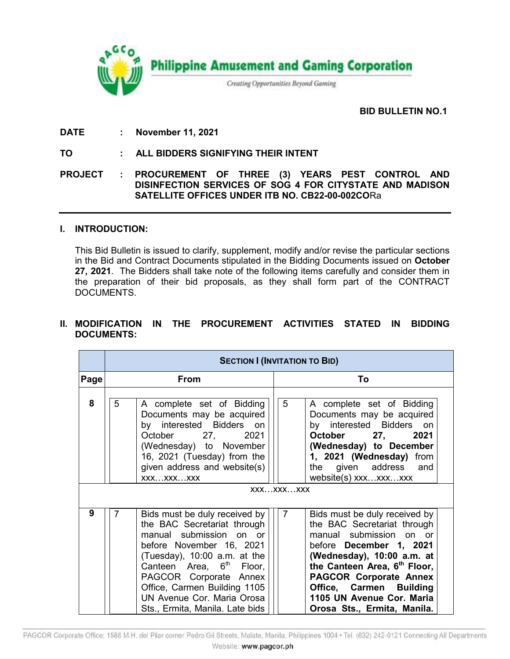

## **BID BULLETIN NO.1.**

**DATE : November 11, 2021**

**TO : ALL BIDDERS SIGNIFYING THEIR INTENT**

**PROJECT : PROCUREMENT OF THREE (3) YEARS PEST CONTROL AND DISINFECTION SERVICES OF SOG 4 FOR CITYSTATE AND MADISON SATELLITE OFFICES UNDER ITB NO. CB22-00-002CO**Ra

## **I. INTRODUCTION:**

This Bid Bulletin is issued to clarify, supplement, modify and/or revise the particular sections in the Bid and Contract Documents stipulated in the Bidding Documents issued on **October 27, 2021**. The Bidders shall take note of the following items carefully and consider them in the preparation of their bid proposals, as they shall form part of the CONTRACT DOCUMENTS.

## **II. MODIFICATION IN THE PROCUREMENT ACTIVITIES STATED IN BIDDING DOCUMENTS:**

|      | <b>SECTION I (INVITATION TO BID)</b> |                                                                                                                                                                                                                                                                                                                          |                |                                                                                                                                                                                                                                                                                                                      |  |  |  |
|------|--------------------------------------|--------------------------------------------------------------------------------------------------------------------------------------------------------------------------------------------------------------------------------------------------------------------------------------------------------------------------|----------------|----------------------------------------------------------------------------------------------------------------------------------------------------------------------------------------------------------------------------------------------------------------------------------------------------------------------|--|--|--|
| Page | <b>From</b>                          |                                                                                                                                                                                                                                                                                                                          |                | Τo                                                                                                                                                                                                                                                                                                                   |  |  |  |
| 8    | 5                                    | A complete set of Bidding<br>Documents may be acquired<br>by interested Bidders on<br>October 27, 2021<br>(Wednesday) to November<br>16, 2021 (Tuesday) from the<br>given address and website(s)<br>XXXXXXXXX<br>XXXXXXXXX                                                                                               | 5              | A complete set of Bidding<br>Documents may be acquired<br>by interested Bidders on<br>October 27, 2021<br>(Wednesday) to December<br>1, 2021 (Wednesday) from<br>the given address and<br>website(s) xxxxxxxxx                                                                                                       |  |  |  |
| 9    | 7                                    | Bids must be duly received by<br>the BAC Secretariat through<br>manual submission on or<br>before November 16, 2021<br>(Tuesday), $10:00$ a.m. at the<br>Canteen Area, 6 <sup>th</sup> Floor,<br>PAGCOR Corporate Annex<br>Office, Carmen Building 1105<br>UN Avenue Cor. Maria Orosa<br>Sts., Ermita, Manila. Late bids | $\overline{7}$ | Bids must be duly received by<br>the BAC Secretariat through<br>manual submission on or<br>before December 1, 2021<br>(Wednesday), 10:00 a.m. at<br>the Canteen Area, 6 <sup>th</sup> Floor,<br><b>PAGCOR Corporate Annex</b><br>Office, Carmen Building<br>1105 UN Avenue Cor. Maria<br>Orosa Sts., Ermita, Manila. |  |  |  |

PAGCOR Corporate Office: 1588 M.H. del Pilar corner Pedro Gil Streets, Malate, Manila, Philippines 1004 · Tel. (632) 242-0121 Connecting All Departments Website: www.pagcor.ph